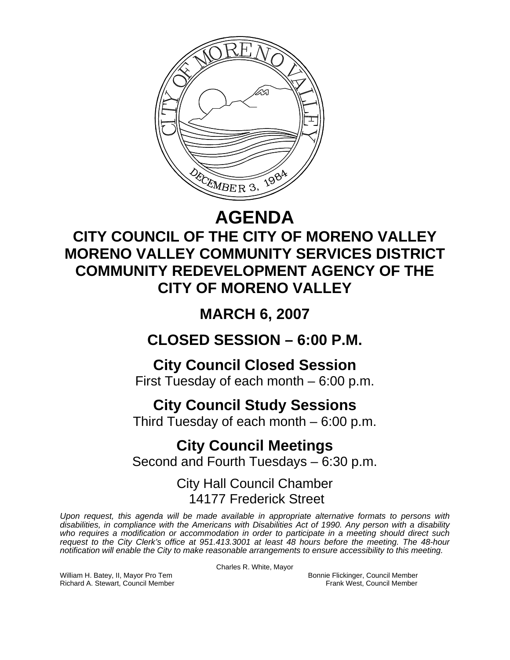

# **AGENDA**

# **CITY COUNCIL OF THE CITY OF MORENO VALLEY MORENO VALLEY COMMUNITY SERVICES DISTRICT COMMUNITY REDEVELOPMENT AGENCY OF THE CITY OF MORENO VALLEY**

# **MARCH 6, 2007**

## **CLOSED SESSION – 6:00 P.M.**

## **City Council Closed Session**

First Tuesday of each month – 6:00 p.m.

## **City Council Study Sessions**

Third Tuesday of each month – 6:00 p.m.

## **City Council Meetings**

Second and Fourth Tuesdays – 6:30 p.m.

### City Hall Council Chamber 14177 Frederick Street

*Upon request, this agenda will be made available in appropriate alternative formats to persons with disabilities, in compliance with the Americans with Disabilities Act of 1990. Any person with a disability who requires a modification or accommodation in order to participate in a meeting should direct such request to the City Clerk's office at 951.413.3001 at least 48 hours before the meeting. The 48-hour notification will enable the City to make reasonable arrangements to ensure accessibility to this meeting.* 

Charles R. White, Mayor

William H. Batey, II, Mayor Pro Tem Bonnie Flickinger, Council Member Richard A. Stewart, Council Member Frank West, Council Member Frank West, Council Member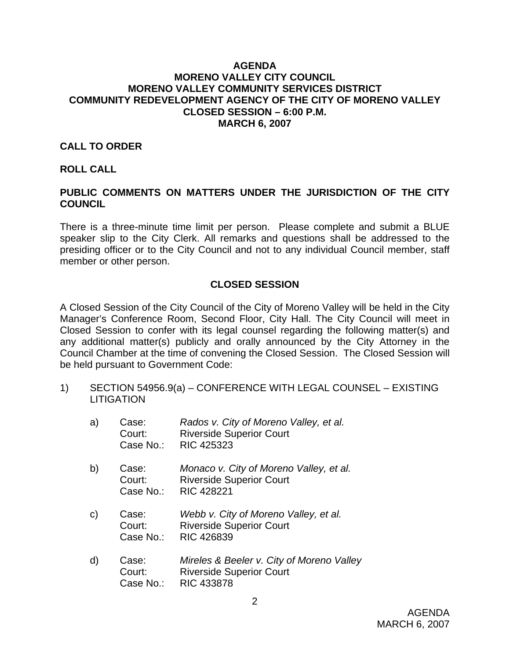### **AGENDA MORENO VALLEY CITY COUNCIL MORENO VALLEY COMMUNITY SERVICES DISTRICT COMMUNITY REDEVELOPMENT AGENCY OF THE CITY OF MORENO VALLEY CLOSED SESSION – 6:00 P.M. MARCH 6, 2007**

### **CALL TO ORDER**

#### **ROLL CALL**

### **PUBLIC COMMENTS ON MATTERS UNDER THE JURISDICTION OF THE CITY COUNCIL**

There is a three-minute time limit per person. Please complete and submit a BLUE speaker slip to the City Clerk. All remarks and questions shall be addressed to the presiding officer or to the City Council and not to any individual Council member, staff member or other person.

### **CLOSED SESSION**

A Closed Session of the City Council of the City of Moreno Valley will be held in the City Manager's Conference Room, Second Floor, City Hall. The City Council will meet in Closed Session to confer with its legal counsel regarding the following matter(s) and any additional matter(s) publicly and orally announced by the City Attorney in the Council Chamber at the time of convening the Closed Session. The Closed Session will be held pursuant to Government Code:

1) SECTION 54956.9(a) – CONFERENCE WITH LEGAL COUNSEL – EXISTING **LITIGATION** 

| a)           | Case:<br>Court:<br>Case No.: | Rados v. City of Moreno Valley, et al.<br><b>Riverside Superior Court</b><br><b>RIC 425323</b>    |
|--------------|------------------------------|---------------------------------------------------------------------------------------------------|
| b)           | Case:<br>Court:<br>Case No.: | Monaco v. City of Moreno Valley, et al.<br><b>Riverside Superior Court</b><br><b>RIC 428221</b>   |
| $\mathsf{C}$ | Case:<br>Court:<br>Case No.: | Webb v. City of Moreno Valley, et al.<br><b>Riverside Superior Court</b><br>RIC 426839            |
| d)           | Case:<br>Court:<br>Case No.: | Mireles & Beeler v. City of Moreno Valley<br><b>Riverside Superior Court</b><br><b>RIC 433878</b> |